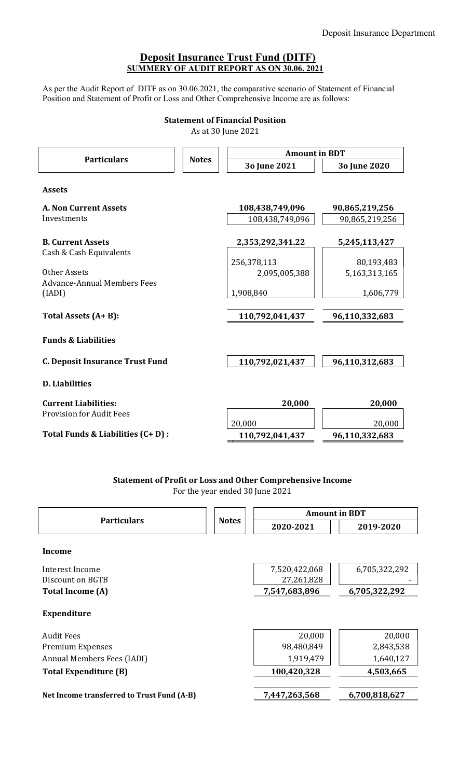# Deposit Insurance Trust Fund (DITF) SUMMERY OF AUDIT REPORT AS ON 30.06. 2021

As per the Audit Report of DITF as on 30.06.2021, the comparative scenario of Statement of Financial Position and Statement of Profit or Loss and Other Comprehensive Income are as follows:

## Statement of Financial Position

As at 30 June 2021

| <b>Particulars</b>                                  | <b>Notes</b> | <b>Amount in BDT</b> |                |  |
|-----------------------------------------------------|--------------|----------------------|----------------|--|
|                                                     |              | 3o June 2021         | 3o June 2020   |  |
| <b>Assets</b>                                       |              |                      |                |  |
| <b>A. Non Current Assets</b>                        |              | 108,438,749,096      | 90,865,219,256 |  |
| Investments                                         |              | 108,438,749,096      | 90,865,219,256 |  |
| <b>B. Current Assets</b><br>Cash & Cash Equivalents |              | 2,353,292,341.22     | 5,245,113,427  |  |
|                                                     |              | 256,378,113          | 80,193,483     |  |
| Other Assets                                        |              | 2,095,005,388        | 5,163,313,165  |  |
| <b>Advance-Annual Members Fees</b><br>(IADI)        |              | 1,908,840            | 1,606,779      |  |
| Total Assets (A+B):                                 |              | 110,792,041,437      | 96,110,332,683 |  |
| <b>Funds &amp; Liabilities</b>                      |              |                      |                |  |
| <b>C. Deposit Insurance Trust Fund</b>              |              | 110,792,021,437      | 96,110,312,683 |  |
| <b>D.</b> Liabilities                               |              |                      |                |  |
| <b>Current Liabilities:</b>                         |              | 20,000               | 20,000         |  |
| <b>Provision for Audit Fees</b>                     |              | 20,000               | 20,000         |  |
| Total Funds & Liabilities (C+D) :                   |              | 110,792,041,437      | 96,110,332,683 |  |
|                                                     |              |                      |                |  |

# Statement of Profit or Loss and Other Comprehensive Income

For the year ended 30 June 2021

| <b>Particulars</b>                         | <b>Notes</b> | <b>Amount in BDT</b> |               |
|--------------------------------------------|--------------|----------------------|---------------|
|                                            |              | 2020-2021            | 2019-2020     |
| Income                                     |              |                      |               |
| Interest Income                            |              | 7,520,422,068        | 6,705,322,292 |
| Discount on BGTB                           |              | 27,261,828           |               |
| <b>Total Income (A)</b>                    |              | 7,547,683,896        | 6,705,322,292 |
| <b>Expenditure</b>                         |              |                      |               |
| <b>Audit Fees</b>                          |              | 20,000               | 20,000        |
| <b>Premium Expenses</b>                    |              | 98,480,849           | 2,843,538     |
| Annual Members Fees (IADI)                 |              | 1,919,479            | 1,640,127     |
| Total Expenditure (B)                      |              | 100,420,328          | 4,503,665     |
| Net Income transferred to Trust Fund (A-B) |              | 7,447,263,568        | 6,700,818,627 |